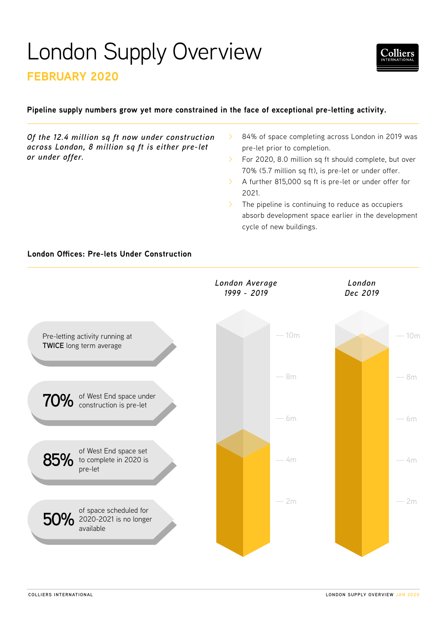# London Supply Overview

# **FEBRUARY 2020**

# **Pipeline supply numbers grow yet more constrained in the face of exceptional pre-letting activity.**

*Of the 12.4 million sq ft now under construction across London, 8 million sq ft is either pre-let or under offer.*

- 84% of space completing across London in 2019 was pre-let prior to completion.
- For 2020, 8.0 million sq ft should complete, but over 70% (5.7 million sq ft), is pre-let or under offer.
- A further 815,000 sq ft is pre-let or under offer for 2021.
- $\sum$  The pipeline is continuing to reduce as occupiers absorb development space earlier in the development cycle of new buildings.



# **London Offices: Pre-lets Under Construction**